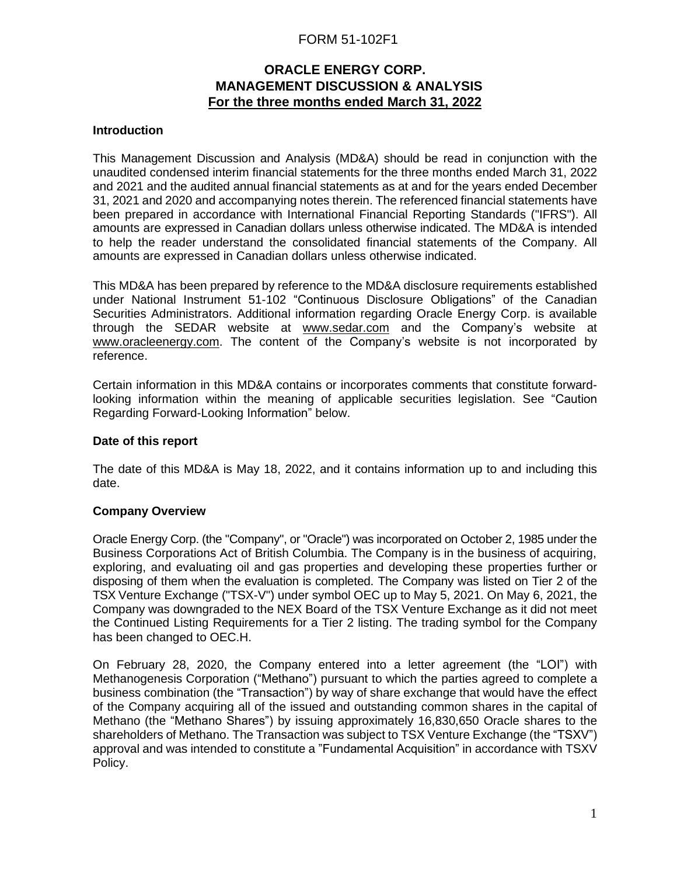# FORM 51-102F1

# **ORACLE ENERGY CORP. MANAGEMENT DISCUSSION & ANALYSIS For the three months ended March 31, 2022**

### **Introduction**

This Management Discussion and Analysis (MD&A) should be read in conjunction with the unaudited condensed interim financial statements for the three months ended March 31, 2022 and 2021 and the audited annual financial statements as at and for the years ended December 31, 2021 and 2020 and accompanying notes therein. The referenced financial statements have been prepared in accordance with International Financial Reporting Standards ("IFRS"). All amounts are expressed in Canadian dollars unless otherwise indicated. The MD&A is intended to help the reader understand the consolidated financial statements of the Company. All amounts are expressed in Canadian dollars unless otherwise indicated.

This MD&A has been prepared by reference to the MD&A disclosure requirements established under National Instrument 51-102 "Continuous Disclosure Obligations" of the Canadian Securities Administrators. Additional information regarding Oracle Energy Corp. is available through the SEDAR website at [www.sedar.com](http://www.sedar.com/) and the Company's website at [www.oracleenergy.com.](http://www.oracleenergy.com/) The content of the Company's website is not incorporated by reference.

Certain information in this MD&A contains or incorporates comments that constitute forwardlooking information within the meaning of applicable securities legislation. See "Caution Regarding Forward-Looking Information" below.

#### **Date of this report**

The date of this MD&A is May 18, 2022, and it contains information up to and including this date.

#### **Company Overview**

Oracle Energy Corp. (the "Company", or "Oracle") was incorporated on October 2, 1985 under the Business Corporations Act of British Columbia. The Company is in the business of acquiring, exploring, and evaluating oil and gas properties and developing these properties further or disposing of them when the evaluation is completed. The Company was listed on Tier 2 of the TSX Venture Exchange ("TSX-V") under symbol OEC up to May 5, 2021. On May 6, 2021, the Company was downgraded to the NEX Board of the TSX Venture Exchange as it did not meet the Continued Listing Requirements for a Tier 2 listing. The trading symbol for the Company has been changed to OEC.H.

On February 28, 2020, the Company entered into a letter agreement (the "LOI") with Methanogenesis Corporation ("Methano") pursuant to which the parties agreed to complete a business combination (the "Transaction") by way of share exchange that would have the effect of the Company acquiring all of the issued and outstanding common shares in the capital of Methano (the "Methano Shares") by issuing approximately 16,830,650 Oracle shares to the shareholders of Methano. The Transaction was subject to TSX Venture Exchange (the "TSXV") approval and was intended to constitute a "Fundamental Acquisition" in accordance with TSXV Policy.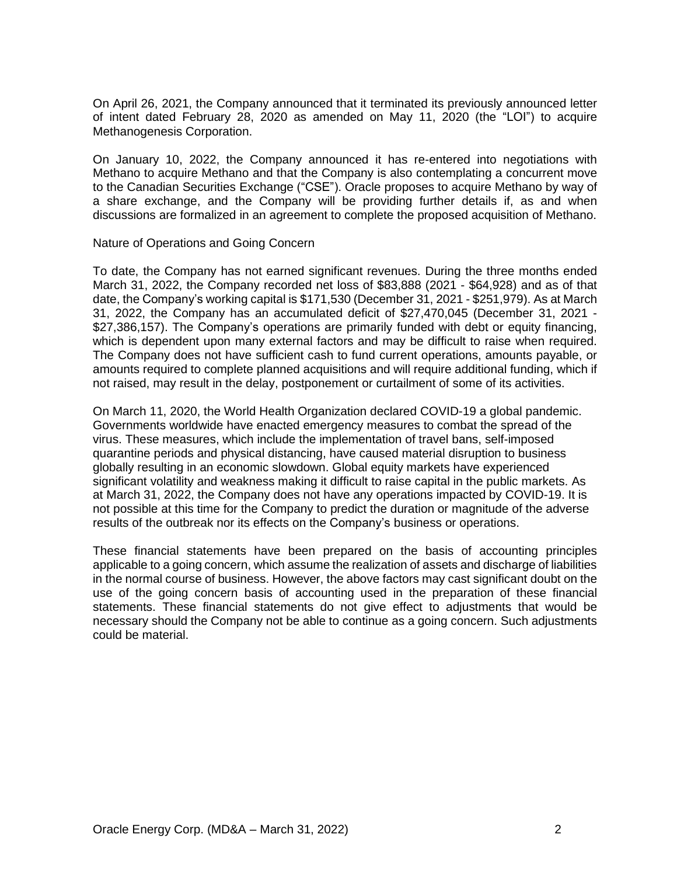On April 26, 2021, the Company announced that it terminated its previously announced letter of intent dated February 28, 2020 as amended on May 11, 2020 (the "LOI") to acquire Methanogenesis Corporation.

On January 10, 2022, the Company announced it has re-entered into negotiations with Methano to acquire Methano and that the Company is also contemplating a concurrent move to the Canadian Securities Exchange ("CSE"). Oracle proposes to acquire Methano by way of a share exchange, and the Company will be providing further details if, as and when discussions are formalized in an agreement to complete the proposed acquisition of Methano.

#### Nature of Operations and Going Concern

To date, the Company has not earned significant revenues. During the three months ended March 31, 2022, the Company recorded net loss of \$83,888 (2021 - \$64,928) and as of that date, the Company's working capital is \$171,530 (December 31, 2021 - \$251,979). As at March 31, 2022, the Company has an accumulated deficit of \$27,470,045 (December 31, 2021 - \$27,386,157). The Company's operations are primarily funded with debt or equity financing, which is dependent upon many external factors and may be difficult to raise when required. The Company does not have sufficient cash to fund current operations, amounts payable, or amounts required to complete planned acquisitions and will require additional funding, which if not raised, may result in the delay, postponement or curtailment of some of its activities.

On March 11, 2020, the World Health Organization declared COVID-19 a global pandemic. Governments worldwide have enacted emergency measures to combat the spread of the virus. These measures, which include the implementation of travel bans, self-imposed quarantine periods and physical distancing, have caused material disruption to business globally resulting in an economic slowdown. Global equity markets have experienced significant volatility and weakness making it difficult to raise capital in the public markets. As at March 31, 2022, the Company does not have any operations impacted by COVID-19. It is not possible at this time for the Company to predict the duration or magnitude of the adverse results of the outbreak nor its effects on the Company's business or operations.

These financial statements have been prepared on the basis of accounting principles applicable to a going concern, which assume the realization of assets and discharge of liabilities in the normal course of business. However, the above factors may cast significant doubt on the use of the going concern basis of accounting used in the preparation of these financial statements. These financial statements do not give effect to adjustments that would be necessary should the Company not be able to continue as a going concern. Such adjustments could be material.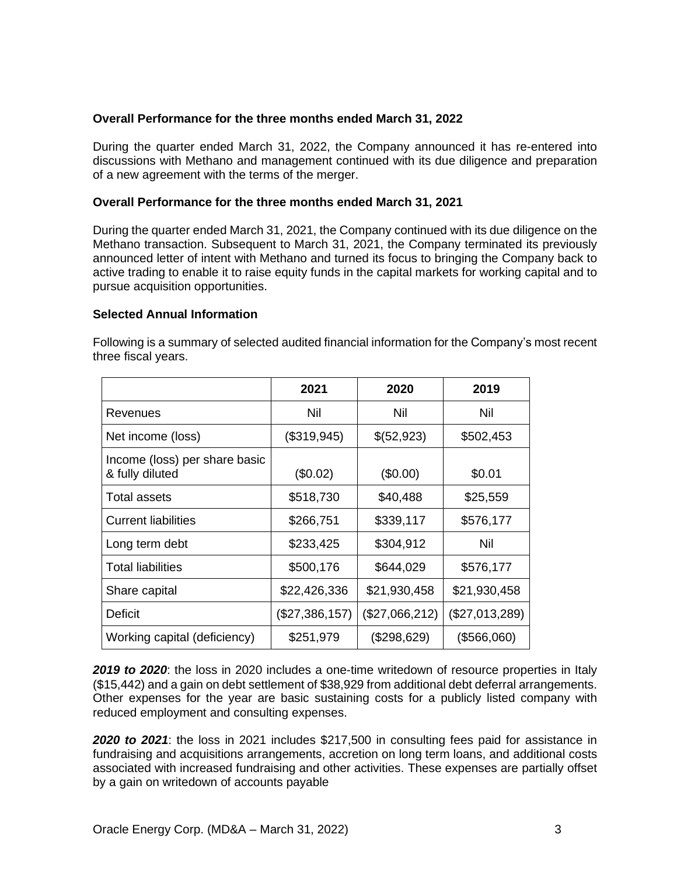## **Overall Performance for the three months ended March 31, 2022**

During the quarter ended March 31, 2022, the Company announced it has re-entered into discussions with Methano and management continued with its due diligence and preparation of a new agreement with the terms of the merger.

#### **Overall Performance for the three months ended March 31, 2021**

During the quarter ended March 31, 2021, the Company continued with its due diligence on the Methano transaction. Subsequent to March 31, 2021, the Company terminated its previously announced letter of intent with Methano and turned its focus to bringing the Company back to active trading to enable it to raise equity funds in the capital markets for working capital and to pursue acquisition opportunities.

#### **Selected Annual Information**

|                                                  | 2021<br>2020   |                | 2019           |  |
|--------------------------------------------------|----------------|----------------|----------------|--|
| Revenues                                         | Nil            | Nil            | Nil            |  |
| Net income (loss)                                | (\$319,945)    | \$(52,923)     | \$502,453      |  |
| Income (loss) per share basic<br>& fully diluted | (\$0.02)       | (\$0.00)       | \$0.01         |  |
| <b>Total assets</b>                              | \$518,730      | \$40,488       | \$25,559       |  |
| <b>Current liabilities</b>                       | \$266,751      | \$339,117      | \$576,177      |  |
| Long term debt                                   | \$233,425      | \$304,912      | Nil            |  |
| <b>Total liabilities</b>                         | \$500,176      | \$644,029      | \$576,177      |  |
| Share capital                                    | \$22,426,336   | \$21,930,458   | \$21,930,458   |  |
| Deficit                                          | (\$27,386,157) | (\$27,066,212) | (\$27,013,289) |  |
| Working capital (deficiency)                     | \$251,979      | (\$298,629)    | (\$566,060)    |  |

Following is a summary of selected audited financial information for the Company's most recent three fiscal years.

*2019 to 2020*: the loss in 2020 includes a one-time writedown of resource properties in Italy (\$15,442) and a gain on debt settlement of \$38,929 from additional debt deferral arrangements. Other expenses for the year are basic sustaining costs for a publicly listed company with reduced employment and consulting expenses.

*2020 to 2021*: the loss in 2021 includes \$217,500 in consulting fees paid for assistance in fundraising and acquisitions arrangements, accretion on long term loans, and additional costs associated with increased fundraising and other activities. These expenses are partially offset by a gain on writedown of accounts payable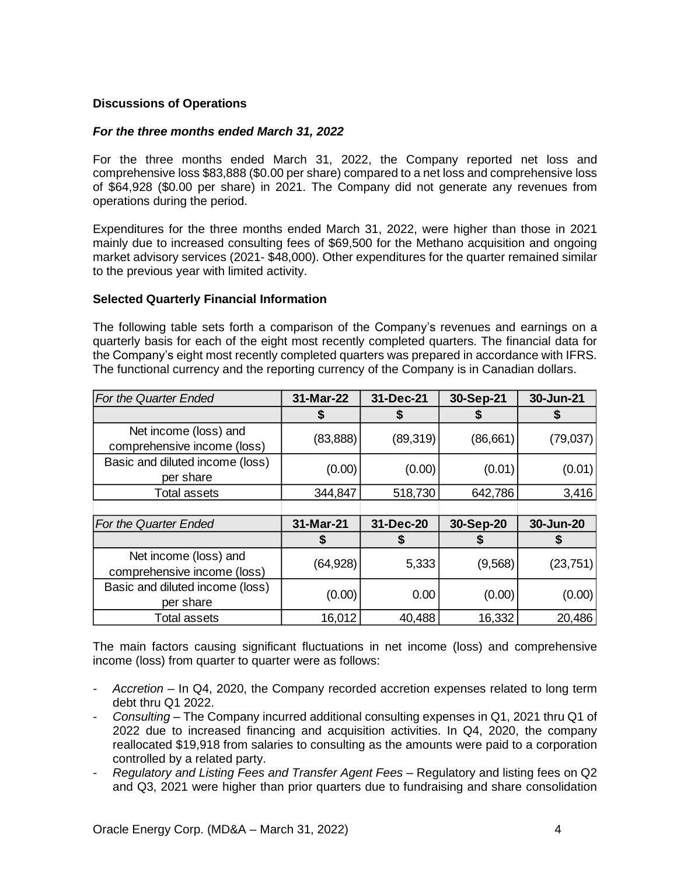## **Discussions of Operations**

#### *For the three months ended March 31, 2022*

For the three months ended March 31, 2022, the Company reported net loss and comprehensive loss \$83,888 (\$0.00 per share) compared to a net loss and comprehensive loss of \$64,928 (\$0.00 per share) in 2021. The Company did not generate any revenues from operations during the period.

Expenditures for the three months ended March 31, 2022, were higher than those in 2021 mainly due to increased consulting fees of \$69,500 for the Methano acquisition and ongoing market advisory services (2021- \$48,000). Other expenditures for the quarter remained similar to the previous year with limited activity.

#### **Selected Quarterly Financial Information**

The following table sets forth a comparison of the Company's revenues and earnings on a quarterly basis for each of the eight most recently completed quarters. The financial data for the Company's eight most recently completed quarters was prepared in accordance with IFRS. The functional currency and the reporting currency of the Company is in Canadian dollars.

| For the Quarter Ended                                | 31-Mar-22 | 31-Dec-21 | 30-Sep-21 | 30-Jun-21 |
|------------------------------------------------------|-----------|-----------|-----------|-----------|
|                                                      | Ъ         |           |           |           |
| Net income (loss) and<br>comprehensive income (loss) | (83, 888) | (89, 319) | (86,661)  | (79,037)  |
| Basic and diluted income (loss)<br>per share         | (0.00)    | (0.00)    | (0.01)    | (0.01)    |
| Total assets                                         | 344,847   | 518,730   | 642,786   | 3,416     |
|                                                      |           |           |           |           |
| For the Quarter Ended                                | 31-Mar-21 | 31-Dec-20 | 30-Sep-20 | 30-Jun-20 |
|                                                      |           | Ъ         |           |           |
| Net income (loss) and<br>comprehensive income (loss) | (64, 928) | 5,333     | (9,568)   | (23, 751) |
| Basic and diluted income (loss)                      |           |           |           |           |
| per share                                            | (0.00)    | 0.00      | (0.00)    | (0.00)    |

The main factors causing significant fluctuations in net income (loss) and comprehensive income (loss) from quarter to quarter were as follows:

- *- Accretion* In Q4, 2020, the Company recorded accretion expenses related to long term debt thru Q1 2022.
- *- Consulting* The Company incurred additional consulting expenses in Q1, 2021 thru Q1 of 2022 due to increased financing and acquisition activities. In Q4, 2020, the company reallocated \$19,918 from salaries to consulting as the amounts were paid to a corporation controlled by a related party.
- *- Regulatory and Listing Fees and Transfer Agent Fees* Regulatory and listing fees on Q2 and Q3, 2021 were higher than prior quarters due to fundraising and share consolidation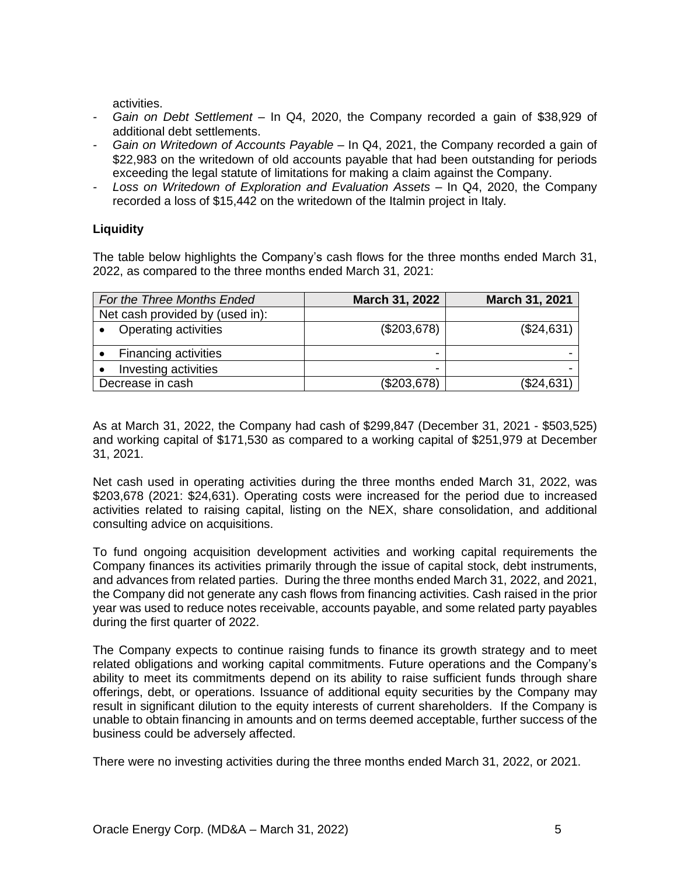activities.

- *- Gain on Debt Settlement* In Q4, 2020, the Company recorded a gain of \$38,929 of additional debt settlements.
- *- Gain on Writedown of Accounts Payable* In Q4, 2021, the Company recorded a gain of \$22,983 on the writedown of old accounts payable that had been outstanding for periods exceeding the legal statute of limitations for making a claim against the Company.
- *- Loss on Writedown of Exploration and Evaluation Assets –* In Q4, 2020, the Company recorded a loss of \$15,442 on the writedown of the Italmin project in Italy*.*

## **Liquidity**

The table below highlights the Company's cash flows for the three months ended March 31, 2022, as compared to the three months ended March 31, 2021:

| For the Three Months Ended      | March 31, 2022 | March 31, 2021 |
|---------------------------------|----------------|----------------|
| Net cash provided by (used in): |                |                |
| Operating activities            | (\$203,678)    | (\$24,631)     |
| <b>Financing activities</b>     |                |                |
| Investing activities            |                |                |
| Decrease in cash                | (\$203,678)    | (\$24,631)     |

As at March 31, 2022, the Company had cash of \$299,847 (December 31, 2021 - \$503,525) and working capital of \$171,530 as compared to a working capital of \$251,979 at December 31, 2021.

Net cash used in operating activities during the three months ended March 31, 2022, was \$203,678 (2021: \$24,631). Operating costs were increased for the period due to increased activities related to raising capital, listing on the NEX, share consolidation, and additional consulting advice on acquisitions.

To fund ongoing acquisition development activities and working capital requirements the Company finances its activities primarily through the issue of capital stock, debt instruments, and advances from related parties. During the three months ended March 31, 2022, and 2021, the Company did not generate any cash flows from financing activities. Cash raised in the prior year was used to reduce notes receivable, accounts payable, and some related party payables during the first quarter of 2022.

The Company expects to continue raising funds to finance its growth strategy and to meet related obligations and working capital commitments. Future operations and the Company's ability to meet its commitments depend on its ability to raise sufficient funds through share offerings, debt, or operations. Issuance of additional equity securities by the Company may result in significant dilution to the equity interests of current shareholders. If the Company is unable to obtain financing in amounts and on terms deemed acceptable, further success of the business could be adversely affected.

There were no investing activities during the three months ended March 31, 2022, or 2021.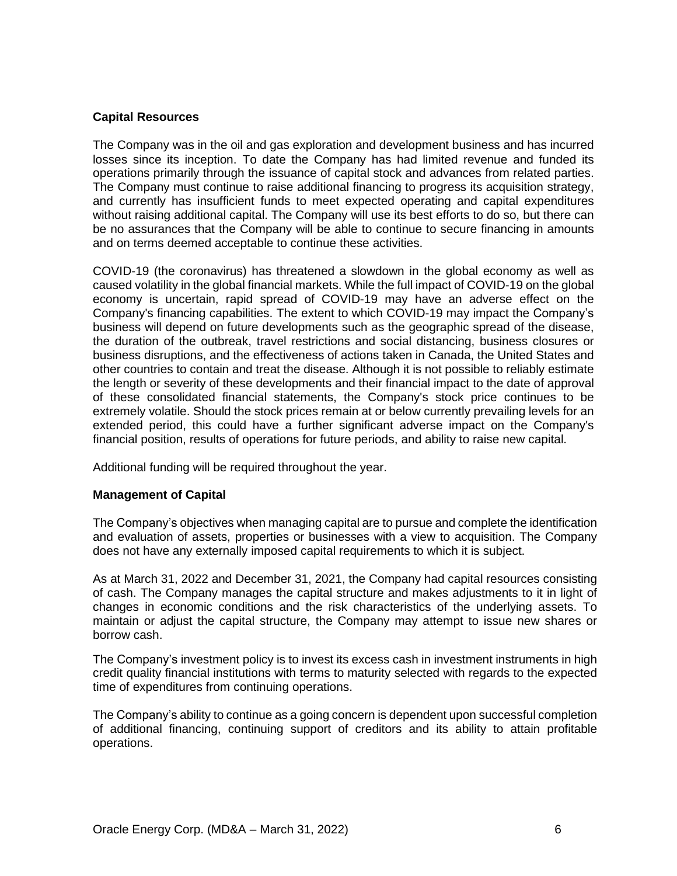#### **Capital Resources**

The Company was in the oil and gas exploration and development business and has incurred losses since its inception. To date the Company has had limited revenue and funded its operations primarily through the issuance of capital stock and advances from related parties. The Company must continue to raise additional financing to progress its acquisition strategy, and currently has insufficient funds to meet expected operating and capital expenditures without raising additional capital. The Company will use its best efforts to do so, but there can be no assurances that the Company will be able to continue to secure financing in amounts and on terms deemed acceptable to continue these activities.

COVID-19 (the coronavirus) has threatened a slowdown in the global economy as well as caused volatility in the global financial markets. While the full impact of COVID-19 on the global economy is uncertain, rapid spread of COVID-19 may have an adverse effect on the Company's financing capabilities. The extent to which COVID-19 may impact the Company's business will depend on future developments such as the geographic spread of the disease, the duration of the outbreak, travel restrictions and social distancing, business closures or business disruptions, and the effectiveness of actions taken in Canada, the United States and other countries to contain and treat the disease. Although it is not possible to reliably estimate the length or severity of these developments and their financial impact to the date of approval of these consolidated financial statements, the Company's stock price continues to be extremely volatile. Should the stock prices remain at or below currently prevailing levels for an extended period, this could have a further significant adverse impact on the Company's financial position, results of operations for future periods, and ability to raise new capital.

Additional funding will be required throughout the year.

#### **Management of Capital**

The Company's objectives when managing capital are to pursue and complete the identification and evaluation of assets, properties or businesses with a view to acquisition. The Company does not have any externally imposed capital requirements to which it is subject.

As at March 31, 2022 and December 31, 2021, the Company had capital resources consisting of cash. The Company manages the capital structure and makes adjustments to it in light of changes in economic conditions and the risk characteristics of the underlying assets. To maintain or adjust the capital structure, the Company may attempt to issue new shares or borrow cash.

The Company's investment policy is to invest its excess cash in investment instruments in high credit quality financial institutions with terms to maturity selected with regards to the expected time of expenditures from continuing operations.

The Company's ability to continue as a going concern is dependent upon successful completion of additional financing, continuing support of creditors and its ability to attain profitable operations.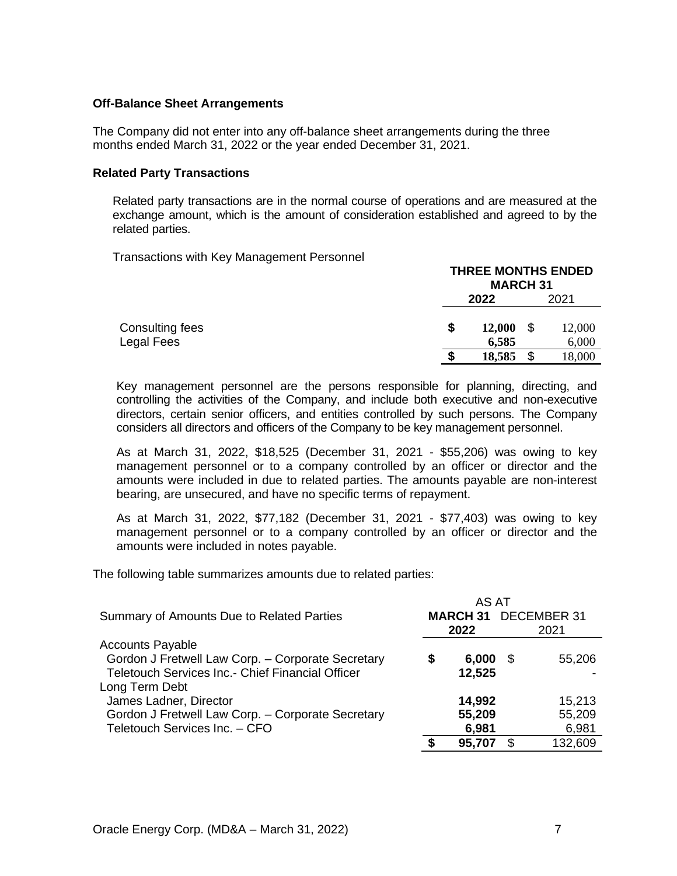#### **Off-Balance Sheet Arrangements**

The Company did not enter into any off-balance sheet arrangements during the three months ended March 31, 2022 or the year ended December 31, 2021.

#### **Related Party Transactions**

Related party transactions are in the normal course of operations and are measured at the exchange amount, which is the amount of consideration established and agreed to by the related parties.

Transactions with Key Management Personnel

|                 |      | <b>THREE MONTHS ENDED</b><br><b>MARCH 31</b> |        |  |
|-----------------|------|----------------------------------------------|--------|--|
|                 | 2022 |                                              | 2021   |  |
| Consulting fees | \$   | - \$<br>12,000                               | 12,000 |  |
| Legal Fees      |      | 6,585                                        | 6,000  |  |
|                 |      | \$<br>18,585                                 | 18,000 |  |

Key management personnel are the persons responsible for planning, directing, and controlling the activities of the Company, and include both executive and non-executive directors, certain senior officers, and entities controlled by such persons. The Company considers all directors and officers of the Company to be key management personnel.

As at March 31, 2022, \$18,525 (December 31, 2021 - \$55,206) was owing to key management personnel or to a company controlled by an officer or director and the amounts were included in due to related parties. The amounts payable are non-interest bearing, are unsecured, and have no specific terms of repayment.

As at March 31, 2022, \$77,182 (December 31, 2021 - \$77,403) was owing to key management personnel or to a company controlled by an officer or director and the amounts were included in notes payable.

The following table summarizes amounts due to related parties:

|                                                   |   | AS AT  |   |                             |
|---------------------------------------------------|---|--------|---|-----------------------------|
| Summary of Amounts Due to Related Parties         |   |        |   | <b>MARCH 31 DECEMBER 31</b> |
|                                                   |   | 2022   |   | 2021                        |
| <b>Accounts Payable</b>                           |   |        |   |                             |
| Gordon J Fretwell Law Corp. - Corporate Secretary | S | 6,000  | S | 55,206                      |
| Teletouch Services Inc.- Chief Financial Officer  |   | 12,525 |   |                             |
| Long Term Debt                                    |   |        |   |                             |
| James Ladner, Director                            |   | 14,992 |   | 15,213                      |
| Gordon J Fretwell Law Corp. - Corporate Secretary |   | 55,209 |   | 55,209                      |
| Teletouch Services Inc. - CFO                     |   | 6,981  |   | 6,981                       |
|                                                   |   | 95,707 |   | 132,609                     |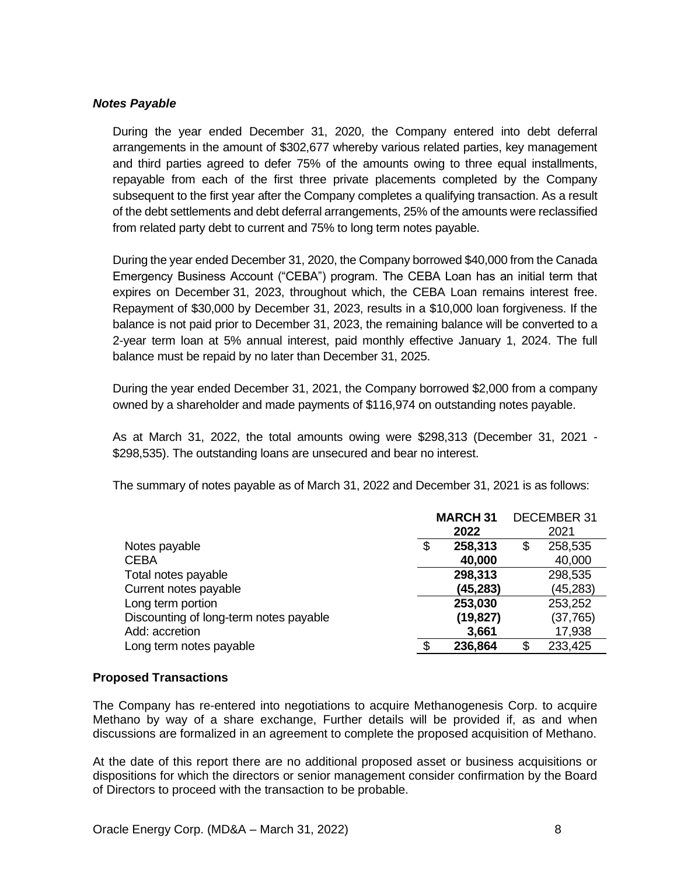## *Notes Payable*

During the year ended December 31, 2020, the Company entered into debt deferral arrangements in the amount of \$302,677 whereby various related parties, key management and third parties agreed to defer 75% of the amounts owing to three equal installments, repayable from each of the first three private placements completed by the Company subsequent to the first year after the Company completes a qualifying transaction. As a result of the debt settlements and debt deferral arrangements, 25% of the amounts were reclassified from related party debt to current and 75% to long term notes payable.

During the year ended December 31, 2020, the Company borrowed \$40,000 from the Canada Emergency Business Account ("CEBA") program. The CEBA Loan has an initial term that expires on December 31, 2023, throughout which, the CEBA Loan remains interest free. Repayment of \$30,000 by December 31, 2023, results in a \$10,000 loan forgiveness. If the balance is not paid prior to December 31, 2023, the remaining balance will be converted to a 2-year term loan at 5% annual interest, paid monthly effective January 1, 2024. The full balance must be repaid by no later than December 31, 2025.

During the year ended December 31, 2021, the Company borrowed \$2,000 from a company owned by a shareholder and made payments of \$116,974 on outstanding notes payable.

As at March 31, 2022, the total amounts owing were \$298,313 (December 31, 2021 - \$298,535). The outstanding loans are unsecured and bear no interest.

The summary of notes payable as of March 31, 2022 and December 31, 2021 is as follows:

|                                        | <b>MARCH 31</b><br><b>DECEMBER 31</b> |           |    |           |
|----------------------------------------|---------------------------------------|-----------|----|-----------|
|                                        |                                       | 2022      |    | 2021      |
| Notes payable                          | \$                                    | 258,313   | \$ | 258,535   |
| <b>CEBA</b>                            |                                       | 40,000    |    | 40,000    |
| Total notes payable                    |                                       | 298,313   |    | 298,535   |
| Current notes payable                  |                                       | (45, 283) |    | (45, 283) |
| Long term portion                      |                                       | 253,030   |    | 253,252   |
| Discounting of long-term notes payable |                                       | (19, 827) |    | (37, 765) |
| Add: accretion                         |                                       | 3,661     |    | 17,938    |
| Long term notes payable                |                                       | 236,864   | S. | 233,425   |

#### **Proposed Transactions**

The Company has re-entered into negotiations to acquire Methanogenesis Corp. to acquire Methano by way of a share exchange, Further details will be provided if, as and when discussions are formalized in an agreement to complete the proposed acquisition of Methano.

At the date of this report there are no additional proposed asset or business acquisitions or dispositions for which the directors or senior management consider confirmation by the Board of Directors to proceed with the transaction to be probable.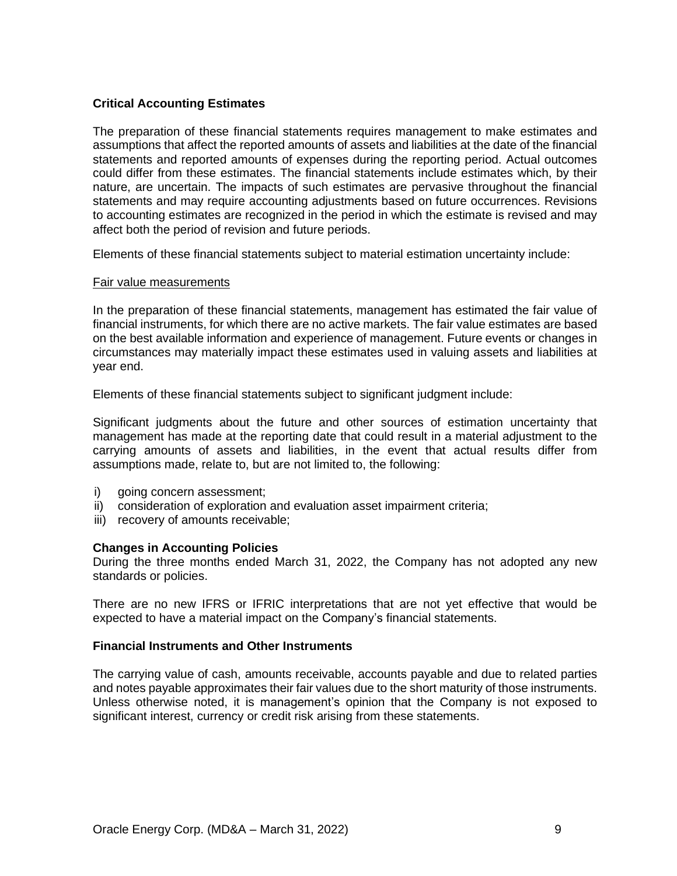## **Critical Accounting Estimates**

The preparation of these financial statements requires management to make estimates and assumptions that affect the reported amounts of assets and liabilities at the date of the financial statements and reported amounts of expenses during the reporting period. Actual outcomes could differ from these estimates. The financial statements include estimates which, by their nature, are uncertain. The impacts of such estimates are pervasive throughout the financial statements and may require accounting adjustments based on future occurrences. Revisions to accounting estimates are recognized in the period in which the estimate is revised and may affect both the period of revision and future periods.

Elements of these financial statements subject to material estimation uncertainty include:

#### Fair value measurements

In the preparation of these financial statements, management has estimated the fair value of financial instruments, for which there are no active markets. The fair value estimates are based on the best available information and experience of management. Future events or changes in circumstances may materially impact these estimates used in valuing assets and liabilities at year end.

Elements of these financial statements subject to significant judgment include:

Significant judgments about the future and other sources of estimation uncertainty that management has made at the reporting date that could result in a material adjustment to the carrying amounts of assets and liabilities, in the event that actual results differ from assumptions made, relate to, but are not limited to, the following:

- i) going concern assessment;
- ii) consideration of exploration and evaluation asset impairment criteria;
- iii) recovery of amounts receivable;

#### **Changes in Accounting Policies**

During the three months ended March 31, 2022, the Company has not adopted any new standards or policies.

There are no new IFRS or IFRIC interpretations that are not yet effective that would be expected to have a material impact on the Company's financial statements.

#### **Financial Instruments and Other Instruments**

The carrying value of cash, amounts receivable, accounts payable and due to related parties and notes payable approximates their fair values due to the short maturity of those instruments. Unless otherwise noted, it is management's opinion that the Company is not exposed to significant interest, currency or credit risk arising from these statements.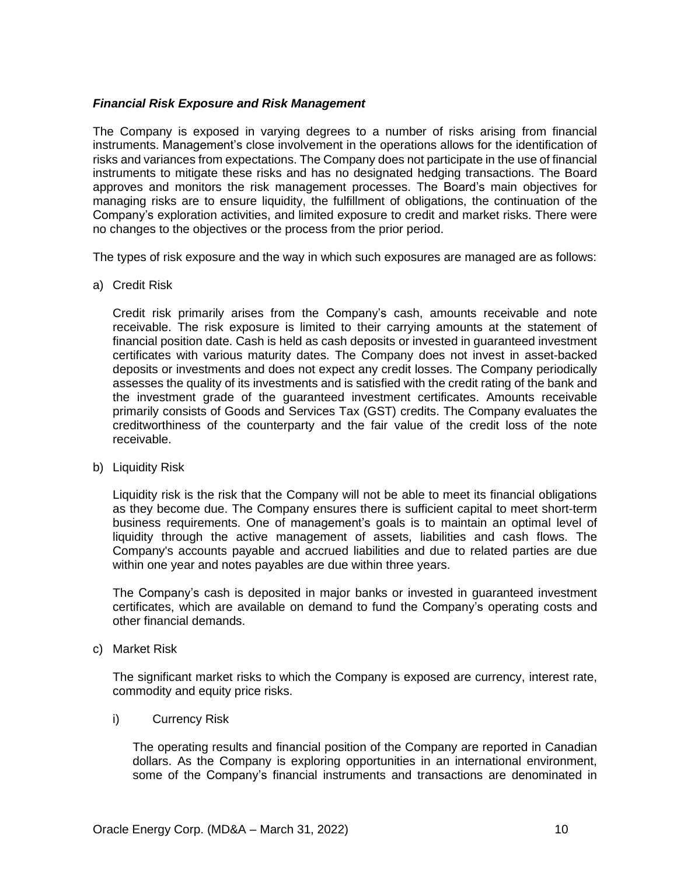## *Financial Risk Exposure and Risk Management*

The Company is exposed in varying degrees to a number of risks arising from financial instruments. Management's close involvement in the operations allows for the identification of risks and variances from expectations. The Company does not participate in the use of financial instruments to mitigate these risks and has no designated hedging transactions. The Board approves and monitors the risk management processes. The Board's main objectives for managing risks are to ensure liquidity, the fulfillment of obligations, the continuation of the Company's exploration activities, and limited exposure to credit and market risks. There were no changes to the objectives or the process from the prior period.

The types of risk exposure and the way in which such exposures are managed are as follows:

a) Credit Risk

Credit risk primarily arises from the Company's cash, amounts receivable and note receivable. The risk exposure is limited to their carrying amounts at the statement of financial position date. Cash is held as cash deposits or invested in guaranteed investment certificates with various maturity dates. The Company does not invest in asset-backed deposits or investments and does not expect any credit losses. The Company periodically assesses the quality of its investments and is satisfied with the credit rating of the bank and the investment grade of the guaranteed investment certificates. Amounts receivable primarily consists of Goods and Services Tax (GST) credits. The Company evaluates the creditworthiness of the counterparty and the fair value of the credit loss of the note receivable.

b) Liquidity Risk

Liquidity risk is the risk that the Company will not be able to meet its financial obligations as they become due. The Company ensures there is sufficient capital to meet short-term business requirements. One of management's goals is to maintain an optimal level of liquidity through the active management of assets, liabilities and cash flows. The Company's accounts payable and accrued liabilities and due to related parties are due within one year and notes payables are due within three years.

The Company's cash is deposited in major banks or invested in guaranteed investment certificates, which are available on demand to fund the Company's operating costs and other financial demands.

c) Market Risk

The significant market risks to which the Company is exposed are currency, interest rate, commodity and equity price risks.

i) Currency Risk

The operating results and financial position of the Company are reported in Canadian dollars. As the Company is exploring opportunities in an international environment, some of the Company's financial instruments and transactions are denominated in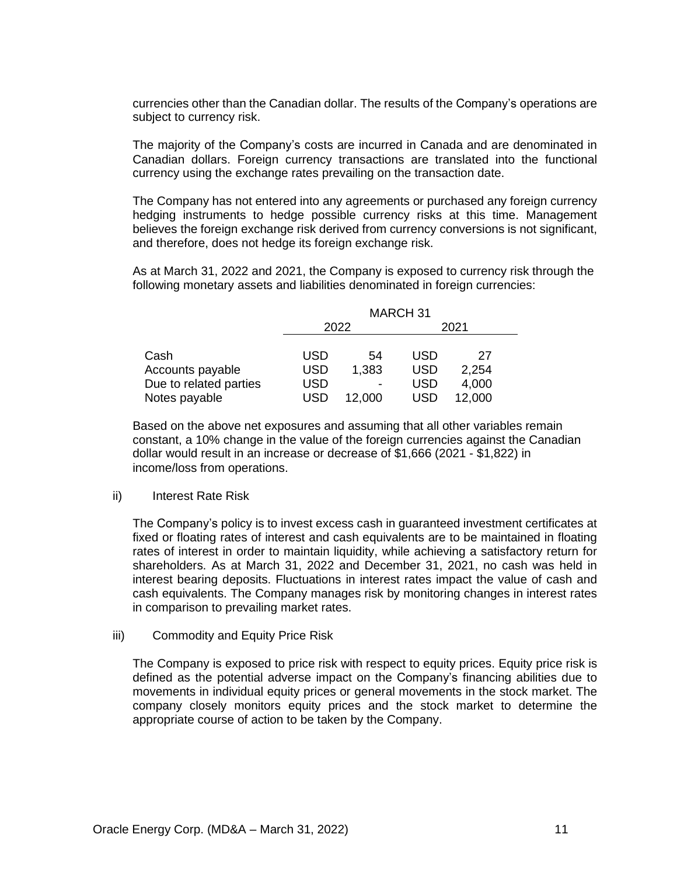currencies other than the Canadian dollar. The results of the Company's operations are subject to currency risk.

The majority of the Company's costs are incurred in Canada and are denominated in Canadian dollars. Foreign currency transactions are translated into the functional currency using the exchange rates prevailing on the transaction date.

The Company has not entered into any agreements or purchased any foreign currency hedging instruments to hedge possible currency risks at this time. Management believes the foreign exchange risk derived from currency conversions is not significant, and therefore, does not hedge its foreign exchange risk.

As at March 31, 2022 and 2021, the Company is exposed to currency risk through the following monetary assets and liabilities denominated in foreign currencies:

|                        | <b>MARCH 31</b> |        |            |        |  |
|------------------------|-----------------|--------|------------|--------|--|
|                        |                 | 2022   |            | 2021   |  |
|                        |                 |        |            |        |  |
| Cash                   | USD             | 54     | USD        | 27     |  |
| Accounts payable       | <b>USD</b>      | 1,383  | <b>USD</b> | 2,254  |  |
| Due to related parties | USD             |        | <b>USD</b> | 4,000  |  |
| Notes payable          | USD             | 12,000 | USD        | 12,000 |  |

Based on the above net exposures and assuming that all other variables remain constant, a 10% change in the value of the foreign currencies against the Canadian dollar would result in an increase or decrease of \$1,666 (2021 - \$1,822) in income/loss from operations.

#### ii) Interest Rate Risk

The Company's policy is to invest excess cash in guaranteed investment certificates at fixed or floating rates of interest and cash equivalents are to be maintained in floating rates of interest in order to maintain liquidity, while achieving a satisfactory return for shareholders. As at March 31, 2022 and December 31, 2021, no cash was held in interest bearing deposits. Fluctuations in interest rates impact the value of cash and cash equivalents. The Company manages risk by monitoring changes in interest rates in comparison to prevailing market rates.

#### iii) Commodity and Equity Price Risk

The Company is exposed to price risk with respect to equity prices. Equity price risk is defined as the potential adverse impact on the Company's financing abilities due to movements in individual equity prices or general movements in the stock market. The company closely monitors equity prices and the stock market to determine the appropriate course of action to be taken by the Company.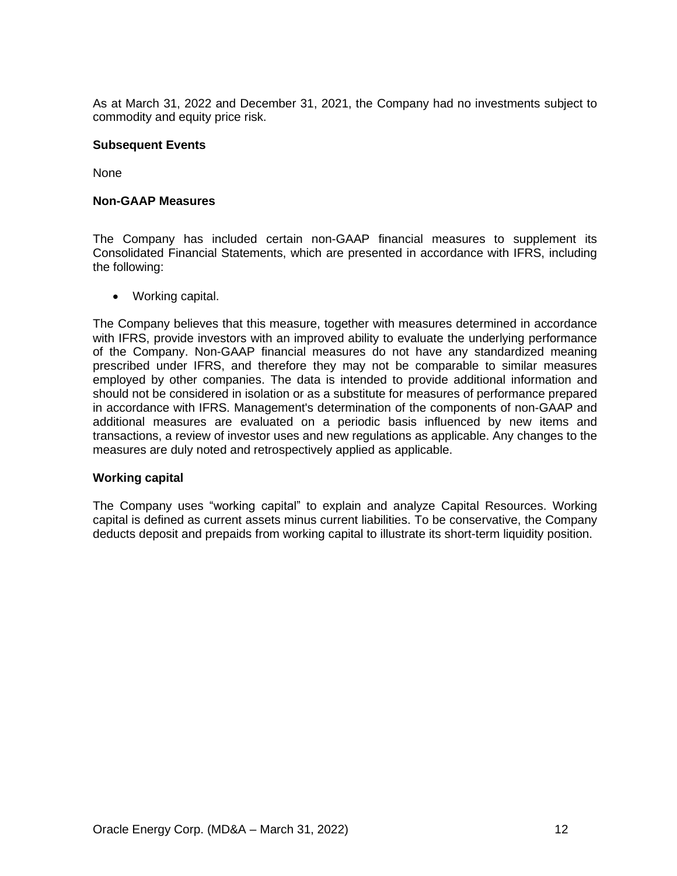As at March 31, 2022 and December 31, 2021, the Company had no investments subject to commodity and equity price risk.

#### **Subsequent Events**

None

### **Non-GAAP Measures**

The Company has included certain non-GAAP financial measures to supplement its Consolidated Financial Statements, which are presented in accordance with IFRS, including the following:

• Working capital.

The Company believes that this measure, together with measures determined in accordance with IFRS, provide investors with an improved ability to evaluate the underlying performance of the Company. Non-GAAP financial measures do not have any standardized meaning prescribed under IFRS, and therefore they may not be comparable to similar measures employed by other companies. The data is intended to provide additional information and should not be considered in isolation or as a substitute for measures of performance prepared in accordance with IFRS. Management's determination of the components of non-GAAP and additional measures are evaluated on a periodic basis influenced by new items and transactions, a review of investor uses and new regulations as applicable. Any changes to the measures are duly noted and retrospectively applied as applicable.

#### **Working capital**

The Company uses "working capital" to explain and analyze Capital Resources. Working capital is defined as current assets minus current liabilities. To be conservative, the Company deducts deposit and prepaids from working capital to illustrate its short-term liquidity position.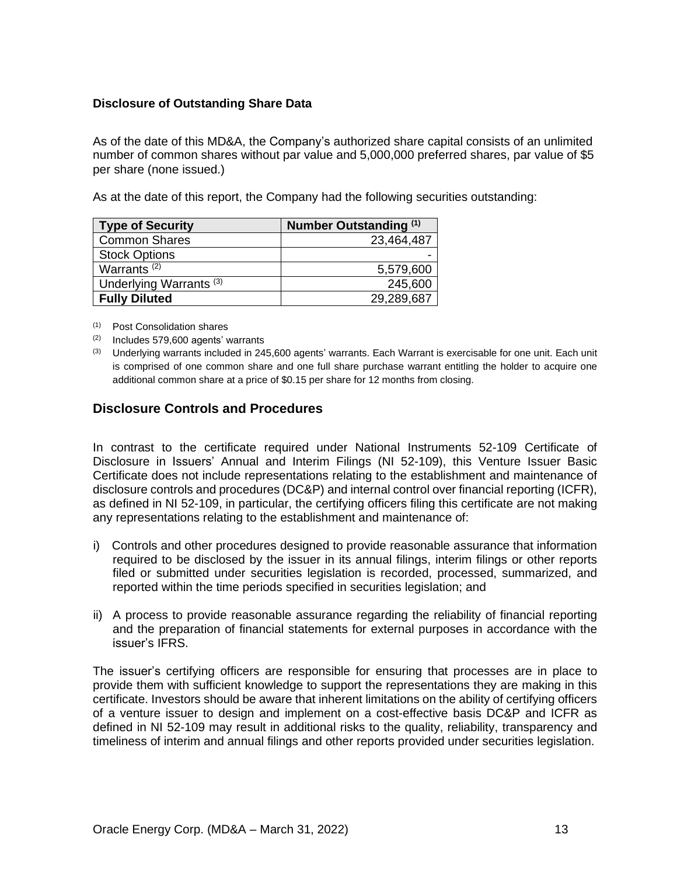## **Disclosure of Outstanding Share Data**

As of the date of this MD&A, the Company's authorized share capital consists of an unlimited number of common shares without par value and 5,000,000 preferred shares, par value of \$5 per share (none issued.)

As at the date of this report, the Company had the following securities outstanding:

| <b>Type of Security</b>            | Number Outstanding (1) |
|------------------------------------|------------------------|
| <b>Common Shares</b>               | 23,464,487             |
| <b>Stock Options</b>               |                        |
| Warrants <sup>(2)</sup>            | 5,579,600              |
| Underlying Warrants <sup>(3)</sup> | 245,600                |
| <b>Fully Diluted</b>               | 29,289,687             |

(1) Post Consolidation shares

(2) Includes 579,600 agents' warrants

 $(3)$  Underlying warrants included in 245,600 agents' warrants. Each Warrant is exercisable for one unit. Each unit is comprised of one common share and one full share purchase warrant entitling the holder to acquire one additional common share at a price of \$0.15 per share for 12 months from closing.

# **Disclosure Controls and Procedures**

In contrast to the certificate required under National Instruments 52-109 Certificate of Disclosure in Issuers' Annual and Interim Filings (NI 52-109), this Venture Issuer Basic Certificate does not include representations relating to the establishment and maintenance of disclosure controls and procedures (DC&P) and internal control over financial reporting (ICFR), as defined in NI 52-109, in particular, the certifying officers filing this certificate are not making any representations relating to the establishment and maintenance of:

- i) Controls and other procedures designed to provide reasonable assurance that information required to be disclosed by the issuer in its annual filings, interim filings or other reports filed or submitted under securities legislation is recorded, processed, summarized, and reported within the time periods specified in securities legislation; and
- ii) A process to provide reasonable assurance regarding the reliability of financial reporting and the preparation of financial statements for external purposes in accordance with the issuer's IFRS.

The issuer's certifying officers are responsible for ensuring that processes are in place to provide them with sufficient knowledge to support the representations they are making in this certificate. Investors should be aware that inherent limitations on the ability of certifying officers of a venture issuer to design and implement on a cost-effective basis DC&P and ICFR as defined in NI 52-109 may result in additional risks to the quality, reliability, transparency and timeliness of interim and annual filings and other reports provided under securities legislation.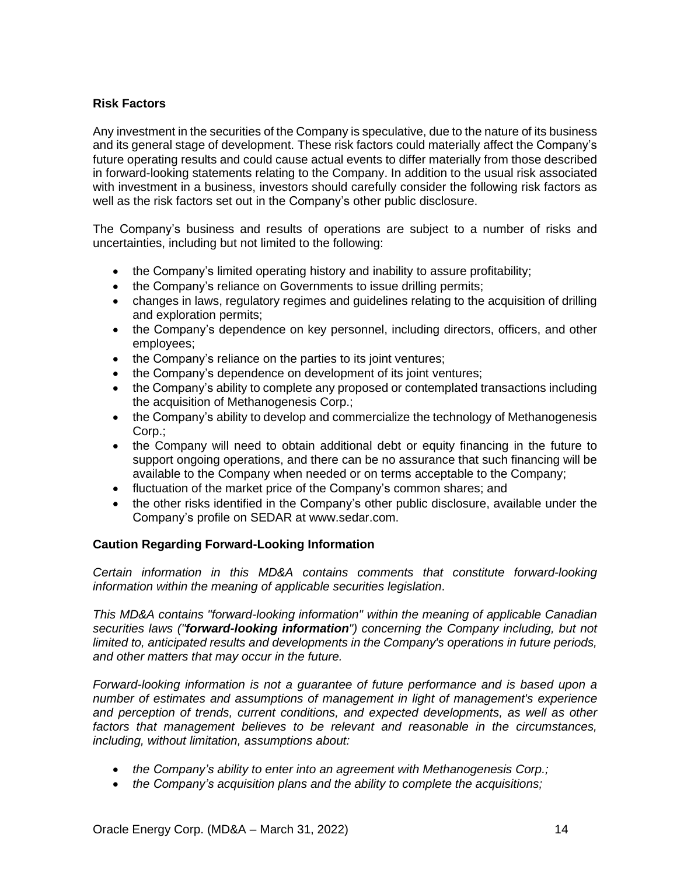## **Risk Factors**

Any investment in the securities of the Company is speculative, due to the nature of its business and its general stage of development. These risk factors could materially affect the Company's future operating results and could cause actual events to differ materially from those described in forward-looking statements relating to the Company. In addition to the usual risk associated with investment in a business, investors should carefully consider the following risk factors as well as the risk factors set out in the Company's other public disclosure.

The Company's business and results of operations are subject to a number of risks and uncertainties, including but not limited to the following:

- the Company's limited operating history and inability to assure profitability;
- the Company's reliance on Governments to issue drilling permits;
- changes in laws, regulatory regimes and guidelines relating to the acquisition of drilling and exploration permits;
- the Company's dependence on key personnel, including directors, officers, and other employees;
- the Company's reliance on the parties to its joint ventures;
- the Company's dependence on development of its joint ventures;
- the Company's ability to complete any proposed or contemplated transactions including the acquisition of Methanogenesis Corp.;
- the Company's ability to develop and commercialize the technology of Methanogenesis Corp.;
- the Company will need to obtain additional debt or equity financing in the future to support ongoing operations, and there can be no assurance that such financing will be available to the Company when needed or on terms acceptable to the Company;
- fluctuation of the market price of the Company's common shares; and
- the other risks identified in the Company's other public disclosure, available under the Company's profile on SEDAR at www.sedar.com.

# **Caution Regarding Forward-Looking Information**

*Certain information in this MD&A contains comments that constitute forward-looking information within the meaning of applicable securities legislation*.

*This MD&A contains "forward-looking information" within the meaning of applicable Canadian securities laws ("forward-looking information") concerning the Company including, but not limited to, anticipated results and developments in the Company's operations in future periods, and other matters that may occur in the future.*

*Forward-looking information is not a guarantee of future performance and is based upon a number of estimates and assumptions of management in light of management's experience and perception of trends, current conditions, and expected developments, as well as other factors that management believes to be relevant and reasonable in the circumstances, including, without limitation, assumptions about:*

- *the Company's ability to enter into an agreement with Methanogenesis Corp.;*
- *the Company's acquisition plans and the ability to complete the acquisitions;*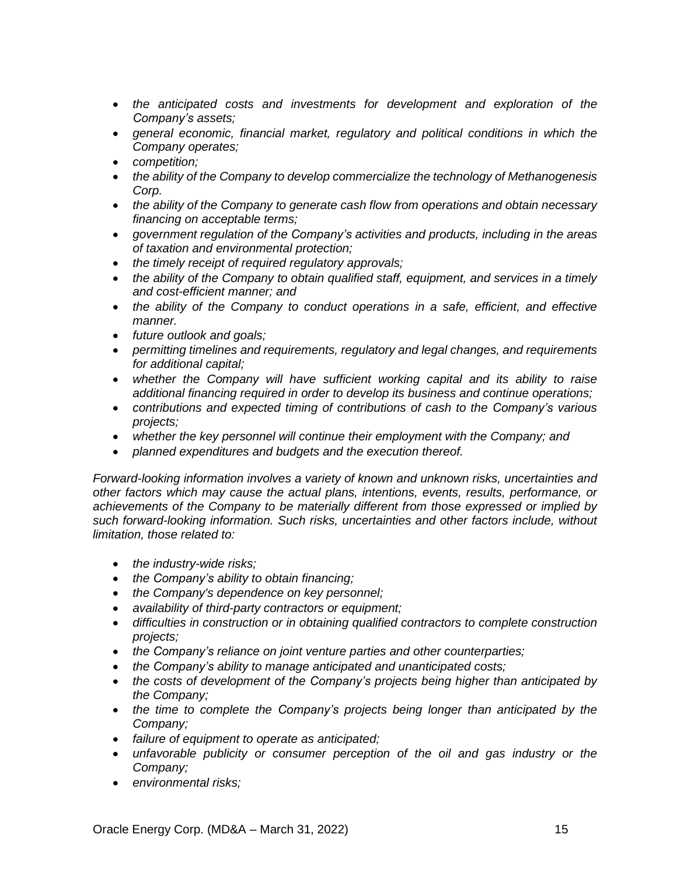- *the anticipated costs and investments for development and exploration of the Company's assets;*
- *general economic, financial market, regulatory and political conditions in which the Company operates;*
- *competition;*
- *the ability of the Company to develop commercialize the technology of Methanogenesis Corp.*
- *the ability of the Company to generate cash flow from operations and obtain necessary financing on acceptable terms;*
- *government regulation of the Company's activities and products, including in the areas of taxation and environmental protection;*
- *the timely receipt of required regulatory approvals;*
- *the ability of the Company to obtain qualified staff, equipment, and services in a timely and cost-efficient manner; and*
- *the ability of the Company to conduct operations in a safe, efficient, and effective manner.*
- *future outlook and goals;*
- *permitting timelines and requirements, regulatory and legal changes, and requirements for additional capital;*
- *whether the Company will have sufficient working capital and its ability to raise additional financing required in order to develop its business and continue operations;*
- *contributions and expected timing of contributions of cash to the Company's various projects;*
- *whether the key personnel will continue their employment with the Company; and*
- *planned expenditures and budgets and the execution thereof.*

*Forward-looking information involves a variety of known and unknown risks, uncertainties and other factors which may cause the actual plans, intentions, events, results, performance, or achievements of the Company to be materially different from those expressed or implied by such forward-looking information. Such risks, uncertainties and other factors include, without limitation, those related to:*

- *the industry-wide risks;*
- *the Company's ability to obtain financing;*
- *the Company's dependence on key personnel;*
- *availability of third-party contractors or equipment;*
- *difficulties in construction or in obtaining qualified contractors to complete construction projects;*
- *the Company's reliance on joint venture parties and other counterparties;*
- *the Company's ability to manage anticipated and unanticipated costs;*
- *the costs of development of the Company's projects being higher than anticipated by the Company;*
- *the time to complete the Company's projects being longer than anticipated by the Company;*
- *failure of equipment to operate as anticipated;*
- *unfavorable publicity or consumer perception of the oil and gas industry or the Company;*
- *environmental risks;*